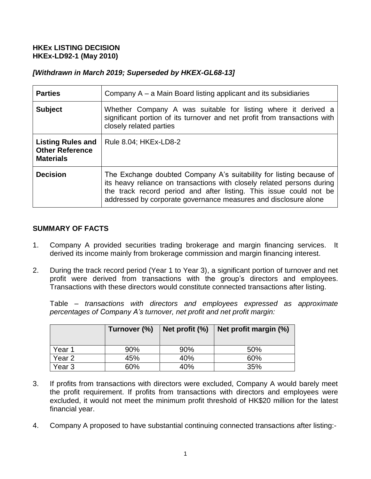# **HKEx LISTING DECISION HKEx-LD92-1 (May 2010)**

# *[Withdrawn in March 2019; Superseded by HKEX-GL68-13]*

| <b>Parties</b>                                                         | Company A – a Main Board listing applicant and its subsidiaries                                                                                                                                                                                                                        |  |  |
|------------------------------------------------------------------------|----------------------------------------------------------------------------------------------------------------------------------------------------------------------------------------------------------------------------------------------------------------------------------------|--|--|
| <b>Subject</b>                                                         | Whether Company A was suitable for listing where it derived a<br>significant portion of its turnover and net profit from transactions with<br>closely related parties                                                                                                                  |  |  |
| <b>Listing Rules and</b><br><b>Other Reference</b><br><b>Materials</b> | Rule 8.04; HKEx-LD8-2                                                                                                                                                                                                                                                                  |  |  |
| <b>Decision</b>                                                        | The Exchange doubted Company A's suitability for listing because of<br>its heavy reliance on transactions with closely related persons during<br>the track record period and after listing. This issue could not be<br>addressed by corporate governance measures and disclosure alone |  |  |

## **SUMMARY OF FACTS**

- 1. Company A provided securities trading brokerage and margin financing services. It derived its income mainly from brokerage commission and margin financing interest.
- 2. During the track record period (Year 1 to Year 3), a significant portion of turnover and net profit were derived from transactions with the group's directors and employees. Transactions with these directors would constitute connected transactions after listing.

Table – *transactions with directors and employees expressed as approximate percentages of Company A's turnover, net profit and net profit margin:*

|                   | Turnover (%) | Net profit (%) | Net profit margin (%) |
|-------------------|--------------|----------------|-----------------------|
| Year 1            | 90%          | 90%            | 50%                   |
| Year <sub>2</sub> | 45%          | 40%            | 60%                   |
| Year <sub>3</sub> | 60%          | 40%            | 35%                   |

- 3. If profits from transactions with directors were excluded, Company A would barely meet the profit requirement. If profits from transactions with directors and employees were excluded, it would not meet the minimum profit threshold of HK\$20 million for the latest financial year.
- 4. Company A proposed to have substantial continuing connected transactions after listing:-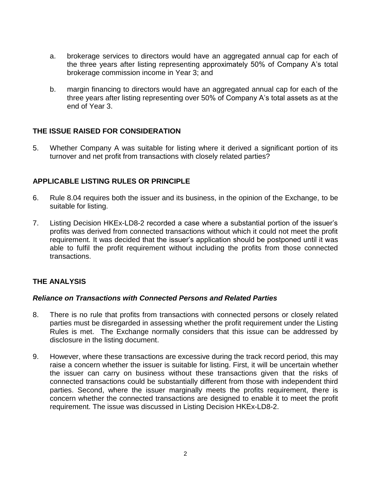- a. brokerage services to directors would have an aggregated annual cap for each of the three years after listing representing approximately 50% of Company A's total brokerage commission income in Year 3; and
- b. margin financing to directors would have an aggregated annual cap for each of the three years after listing representing over 50% of Company A's total assets as at the end of Year 3.

# **THE ISSUE RAISED FOR CONSIDERATION**

5. Whether Company A was suitable for listing where it derived a significant portion of its turnover and net profit from transactions with closely related parties?

## **APPLICABLE LISTING RULES OR PRINCIPLE**

- 6. Rule 8.04 requires both the issuer and its business, in the opinion of the Exchange, to be suitable for listing.
- 7. Listing Decision HKEx-LD8-2 recorded a case where a substantial portion of the issuer's profits was derived from connected transactions without which it could not meet the profit requirement. It was decided that the issuer's application should be postponed until it was able to fulfil the profit requirement without including the profits from those connected transactions.

# **THE ANALYSIS**

## *Reliance on Transactions with Connected Persons and Related Parties*

- 8. There is no rule that profits from transactions with connected persons or closely related parties must be disregarded in assessing whether the profit requirement under the Listing Rules is met. The Exchange normally considers that this issue can be addressed by disclosure in the listing document.
- 9. However, where these transactions are excessive during the track record period, this may raise a concern whether the issuer is suitable for listing. First, it will be uncertain whether the issuer can carry on business without these transactions given that the risks of connected transactions could be substantially different from those with independent third parties. Second, where the issuer marginally meets the profits requirement, there is concern whether the connected transactions are designed to enable it to meet the profit requirement. The issue was discussed in Listing Decision HKEx-LD8-2.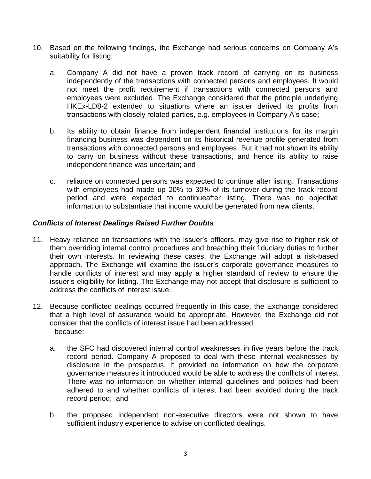- 10. Based on the following findings, the Exchange had serious concerns on Company A's suitability for listing:
	- a. Company A did not have a proven track record of carrying on its business independently of the transactions with connected persons and employees. It would not meet the profit requirement if transactions with connected persons and employees were excluded. The Exchange considered that the principle underlying HKEx-LD8-2 extended to situations where an issuer derived its profits from transactions with closely related parties, e.g. employees in Company A's case;
	- b. Its ability to obtain finance from independent financial institutions for its margin financing business was dependent on its historical revenue profile generated from transactions with connected persons and employees. But it had not shown its ability to carry on business without these transactions, and hence its ability to raise independent finance was uncertain; and
	- c. reliance on connected persons was expected to continue after listing. Transactions with employees had made up 20% to 30% of its turnover during the track record period and were expected to continueafter listing. There was no objective information to substantiate that income would be generated from new clients.

## *Conflicts of Interest Dealings Raised Further Doubts*

- 11. Heavy reliance on transactions with the issuer's officers, may give rise to higher risk of them overriding internal control procedures and breaching their fiduciary duties to further their own interests. In reviewing these cases, the Exchange will adopt a risk-based approach. The Exchange will examine the issuer's corporate governance measures to handle conflicts of interest and may apply a higher standard of review to ensure the issuer's eligibility for listing. The Exchange may not accept that disclosure is sufficient to address the conflicts of interest issue.
- 12. Because conflicted dealings occurred frequently in this case, the Exchange considered that a high level of assurance would be appropriate. However, the Exchange did not consider that the conflicts of interest issue had been addressed because:
	- a. the SFC had discovered internal control weaknesses in five years before the track record period. Company A proposed to deal with these internal weaknesses by disclosure in the prospectus. It provided no information on how the corporate governance measures it introduced would be able to address the conflicts of interest. There was no information on whether internal guidelines and policies had been adhered to and whether conflicts of interest had been avoided during the track record period; and
	- b. the proposed independent non-executive directors were not shown to have sufficient industry experience to advise on conflicted dealings.